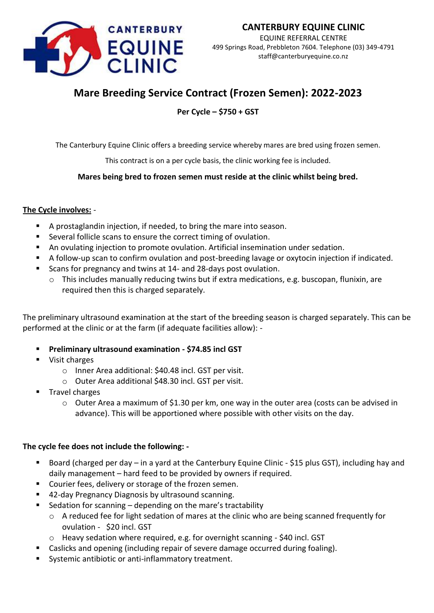

EQUINE REFERRAL CENTRE 499 Springs Road, Prebbleton 7604. Telephone (03) 349-4791 staff@canterburyequine.co.nz

# **Mare Breeding Service Contract (Frozen Semen): 2022-2023**

**Per Cycle – \$750 + GST**

The Canterbury Equine Clinic offers a breeding service whereby mares are bred using frozen semen.

This contract is on a per cycle basis, the clinic working fee is included.

## **Mares being bred to frozen semen must reside at the clinic whilst being bred.**

## **The Cycle involves:** -

- A prostaglandin injection, if needed, to bring the mare into season.
- Several follicle scans to ensure the correct timing of ovulation.
- **■** An ovulating injection to promote ovulation. Artificial insemination under sedation.
- A follow-up scan to confirm ovulation and post-breeding lavage or oxytocin injection if indicated.
- Scans for pregnancy and twins at 14- and 28-days post ovulation.
	- $\circ$  This includes manually reducing twins but if extra medications, e.g. buscopan, flunixin, are required then this is charged separately.

The preliminary ultrasound examination at the start of the breeding season is charged separately. This can be performed at the clinic or at the farm (if adequate facilities allow): -

- **Preliminary ultrasound examination - \$74.85 incl GST**
- Visit charges
	- o Inner Area additional: \$40.48 incl. GST per visit.
	- o Outer Area additional \$48.30 incl. GST per visit.
- Travel charges
	- $\circ$  Outer Area a maximum of \$1.30 per km, one way in the outer area (costs can be advised in advance). This will be apportioned where possible with other visits on the day.

### **The cycle fee does not include the following: -**

- Board (charged per day in a yard at the Canterbury Equine Clinic \$15 plus GST), including hay and daily management – hard feed to be provided by owners if required.
- Courier fees, delivery or storage of the frozen semen.
- 42-day Pregnancy Diagnosis by ultrasound scanning.
- Sedation for scanning depending on the mare's tractability
	- o A reduced fee for light sedation of mares at the clinic who are being scanned frequently for ovulation - \$20 incl. GST
	- o Heavy sedation where required, e.g. for overnight scanning \$40 incl. GST
	- Caslicks and opening (including repair of severe damage occurred during foaling).
- Systemic antibiotic or anti-inflammatory treatment.